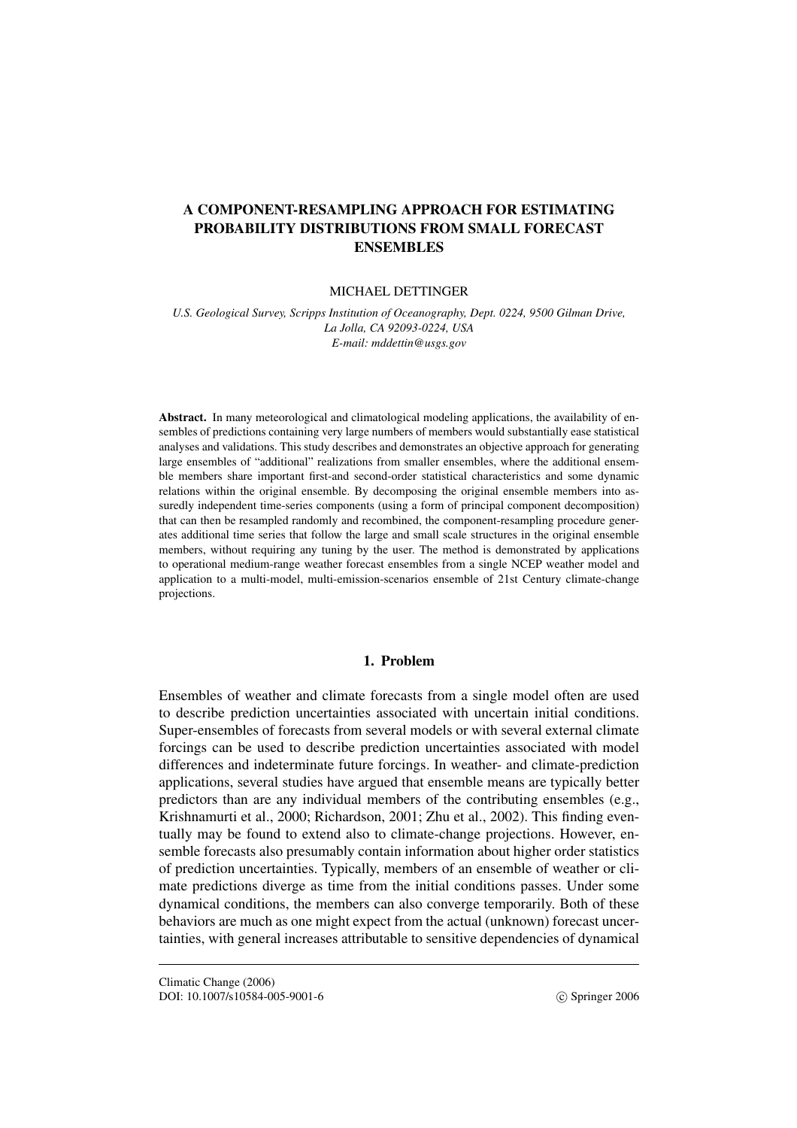# **A COMPONENT-RESAMPLING APPROACH FOR ESTIMATING PROBABILITY DISTRIBUTIONS FROM SMALL FORECAST ENSEMBLES**

# MICHAEL DETTINGER

*U.S. Geological Survey, Scripps Institution of Oceanography, Dept. 0224, 9500 Gilman Drive, La Jolla, CA 92093-0224, USA E-mail: mddettin@usgs.gov*

**Abstract.** In many meteorological and climatological modeling applications, the availability of ensembles of predictions containing very large numbers of members would substantially ease statistical analyses and validations. This study describes and demonstrates an objective approach for generating large ensembles of "additional" realizations from smaller ensembles, where the additional ensemble members share important first-and second-order statistical characteristics and some dynamic relations within the original ensemble. By decomposing the original ensemble members into assuredly independent time-series components (using a form of principal component decomposition) that can then be resampled randomly and recombined, the component-resampling procedure generates additional time series that follow the large and small scale structures in the original ensemble members, without requiring any tuning by the user. The method is demonstrated by applications to operational medium-range weather forecast ensembles from a single NCEP weather model and application to a multi-model, multi-emission-scenarios ensemble of 21st Century climate-change projections.

## **1. Problem**

Ensembles of weather and climate forecasts from a single model often are used to describe prediction uncertainties associated with uncertain initial conditions. Super-ensembles of forecasts from several models or with several external climate forcings can be used to describe prediction uncertainties associated with model differences and indeterminate future forcings. In weather- and climate-prediction applications, several studies have argued that ensemble means are typically better predictors than are any individual members of the contributing ensembles (e.g., Krishnamurti et al., 2000; Richardson, 2001; Zhu et al., 2002). This finding eventually may be found to extend also to climate-change projections. However, ensemble forecasts also presumably contain information about higher order statistics of prediction uncertainties. Typically, members of an ensemble of weather or climate predictions diverge as time from the initial conditions passes. Under some dynamical conditions, the members can also converge temporarily. Both of these behaviors are much as one might expect from the actual (unknown) forecast uncertainties, with general increases attributable to sensitive dependencies of dynamical

c Springer 2006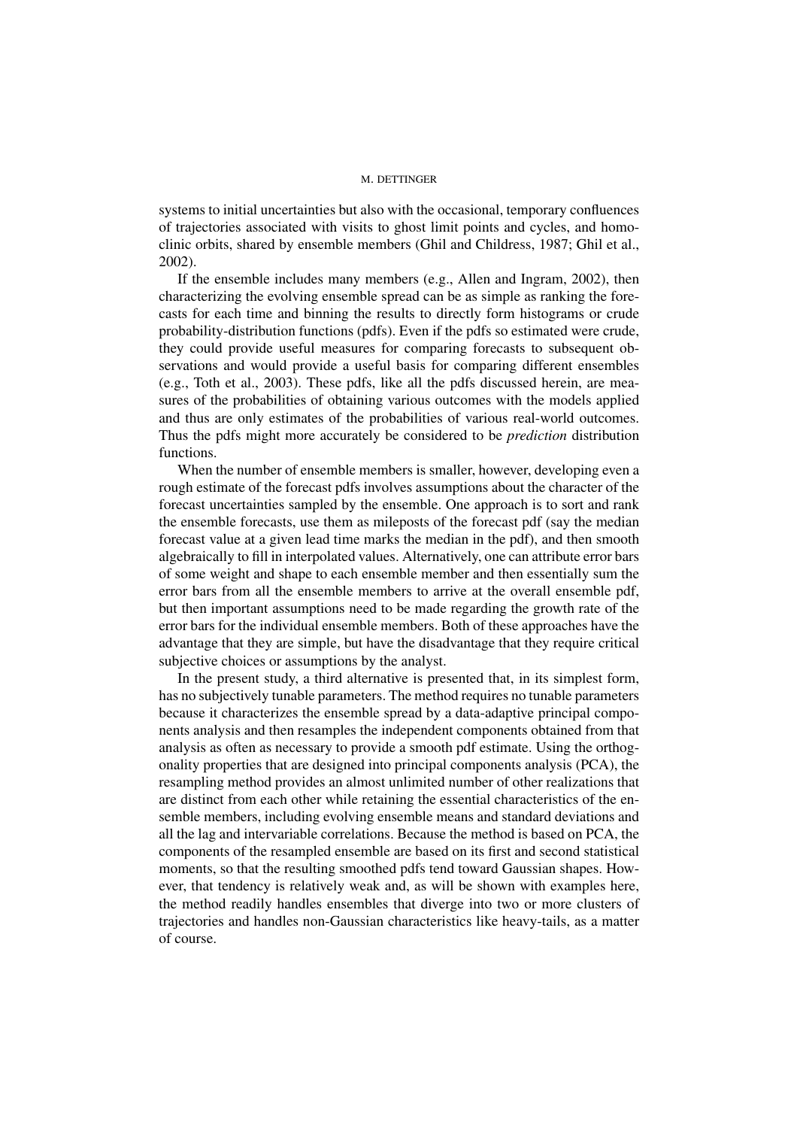systems to initial uncertainties but also with the occasional, temporary confluences of trajectories associated with visits to ghost limit points and cycles, and homoclinic orbits, shared by ensemble members (Ghil and Childress, 1987; Ghil et al., 2002).

If the ensemble includes many members (e.g., Allen and Ingram, 2002), then characterizing the evolving ensemble spread can be as simple as ranking the forecasts for each time and binning the results to directly form histograms or crude probability-distribution functions (pdfs). Even if the pdfs so estimated were crude, they could provide useful measures for comparing forecasts to subsequent observations and would provide a useful basis for comparing different ensembles (e.g., Toth et al., 2003). These pdfs, like all the pdfs discussed herein, are measures of the probabilities of obtaining various outcomes with the models applied and thus are only estimates of the probabilities of various real-world outcomes. Thus the pdfs might more accurately be considered to be *prediction* distribution functions.

When the number of ensemble members is smaller, however, developing even a rough estimate of the forecast pdfs involves assumptions about the character of the forecast uncertainties sampled by the ensemble. One approach is to sort and rank the ensemble forecasts, use them as mileposts of the forecast pdf (say the median forecast value at a given lead time marks the median in the pdf), and then smooth algebraically to fill in interpolated values. Alternatively, one can attribute error bars of some weight and shape to each ensemble member and then essentially sum the error bars from all the ensemble members to arrive at the overall ensemble pdf, but then important assumptions need to be made regarding the growth rate of the error bars for the individual ensemble members. Both of these approaches have the advantage that they are simple, but have the disadvantage that they require critical subjective choices or assumptions by the analyst.

In the present study, a third alternative is presented that, in its simplest form, has no subjectively tunable parameters. The method requires no tunable parameters because it characterizes the ensemble spread by a data-adaptive principal components analysis and then resamples the independent components obtained from that analysis as often as necessary to provide a smooth pdf estimate. Using the orthogonality properties that are designed into principal components analysis (PCA), the resampling method provides an almost unlimited number of other realizations that are distinct from each other while retaining the essential characteristics of the ensemble members, including evolving ensemble means and standard deviations and all the lag and intervariable correlations. Because the method is based on PCA, the components of the resampled ensemble are based on its first and second statistical moments, so that the resulting smoothed pdfs tend toward Gaussian shapes. However, that tendency is relatively weak and, as will be shown with examples here, the method readily handles ensembles that diverge into two or more clusters of trajectories and handles non-Gaussian characteristics like heavy-tails, as a matter of course.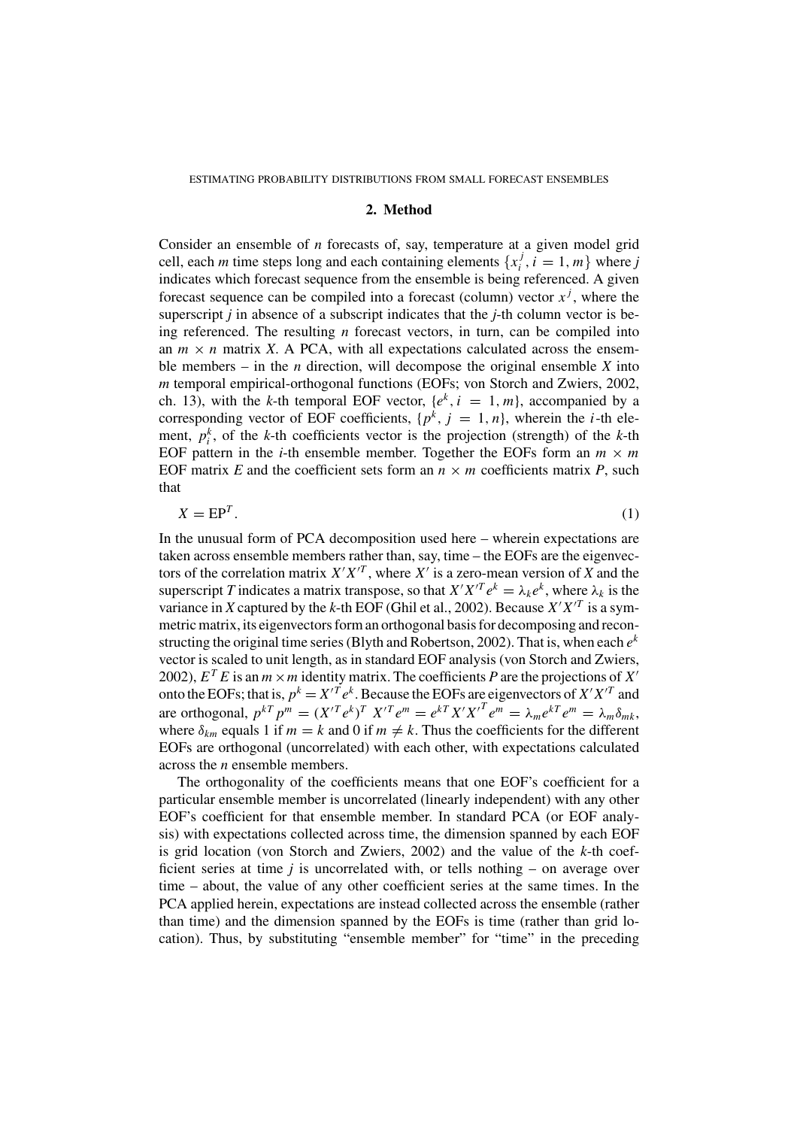## **2. Method**

Consider an ensemble of *n* forecasts of, say, temperature at a given model grid cell, each *m* time steps long and each containing elements  $\{x_i^j, i = 1, m\}$  where *j* indicates which forecast sequence from the ensemble is being referenced. A given forecast sequence can be compiled into a forecast (column) vector  $x<sup>j</sup>$ , where the superscript *j* in absence of a subscript indicates that the *j*-th column vector is being referenced. The resulting *n* forecast vectors, in turn, can be compiled into an  $m \times n$  matrix X. A PCA, with all expectations calculated across the ensemble members – in the *n* direction, will decompose the original ensemble  $X$  into *m* temporal empirical-orthogonal functions (EOFs; von Storch and Zwiers, 2002, ch. 13), with the *k*-th temporal EOF vector,  $\{e^k, i = 1, m\}$ , accompanied by a corresponding vector of EOF coefficients,  $\{p^k, j = 1, n\}$ , wherein the *i*-th element,  $p_i^k$ , of the *k*-th coefficients vector is the projection (strength) of the *k*-th EOF pattern in the *i*-th ensemble member. Together the EOFs form an  $m \times m$ EOF matrix *E* and the coefficient sets form an  $n \times m$  coefficients matrix *P*, such that

$$
X = \mathbf{E} \mathbf{P}^T. \tag{1}
$$

In the unusual form of PCA decomposition used here – wherein expectations are taken across ensemble members rather than, say, time – the EOFs are the eigenvectors of the correlation matrix  $X'X'^T$ , where  $X'$  is a zero-mean version of *X* and the superscript *T* indicates a matrix transpose, so that  $X'X'^T e^k = \lambda_k e^k$ , where  $\lambda_k$  is the variance in *X* captured by the *k*-th EOF (Ghil et al., 2002). Because  $X'X'^T$  is a symmetric matrix, its eigenvectors form an orthogonal basis for decomposing and reconstructing the original time series (Blyth and Robertson, 2002). That is, when each *e<sup>k</sup>* vector is scaled to unit length, as in standard EOF analysis (von Storch and Zwiers, 2002),  $E^T E$  is an  $m \times m$  identity matrix. The coefficients P are the projections of X' onto the EOFs; that is,  $p^k = X^T e^k$ . Because the EOFs are eigenvectors of  $X^T X^T$  and are orthogonal,  $p^{kT} p^m = (X'^T e^k)^T X'^T e^m = e^{kT} X' {X'}^T e^m = \lambda_m e^{kT} e^m = \lambda_m \delta_{mk}$ , where  $\delta_{km}$  equals 1 if  $m = k$  and 0 if  $m \neq k$ . Thus the coefficients for the different EOFs are orthogonal (uncorrelated) with each other, with expectations calculated across the *n* ensemble members.

The orthogonality of the coefficients means that one EOF's coefficient for a particular ensemble member is uncorrelated (linearly independent) with any other EOF's coefficient for that ensemble member. In standard PCA (or EOF analysis) with expectations collected across time, the dimension spanned by each EOF is grid location (von Storch and Zwiers, 2002) and the value of the *k*-th coefficient series at time  $j$  is uncorrelated with, or tells nothing – on average over time – about, the value of any other coefficient series at the same times. In the PCA applied herein, expectations are instead collected across the ensemble (rather than time) and the dimension spanned by the EOFs is time (rather than grid location). Thus, by substituting "ensemble member" for "time" in the preceding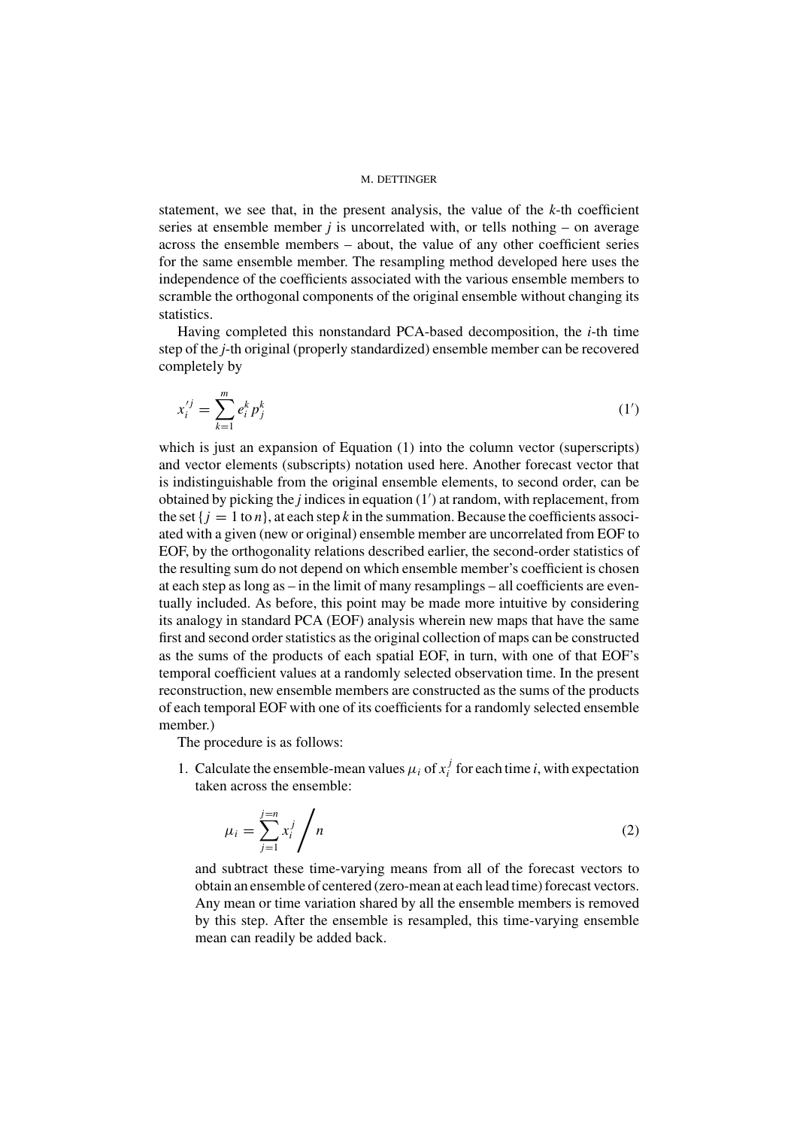statement, we see that, in the present analysis, the value of the *k*-th coefficient series at ensemble member *j* is uncorrelated with, or tells nothing – on average across the ensemble members – about, the value of any other coefficient series for the same ensemble member. The resampling method developed here uses the independence of the coefficients associated with the various ensemble members to scramble the orthogonal components of the original ensemble without changing its statistics.

Having completed this nonstandard PCA-based decomposition, the *i*-th time step of the *j*-th original (properly standardized) ensemble member can be recovered completely by

$$
x_i'^j = \sum_{k=1}^m e_i^k p_j^k \tag{1'}
$$

which is just an expansion of Equation (1) into the column vector (superscripts) and vector elements (subscripts) notation used here. Another forecast vector that is indistinguishable from the original ensemble elements, to second order, can be obtained by picking the  $j$  indices in equation  $(1')$  at random, with replacement, from the set  $\{j = 1 \text{ to } n\}$ , at each step k in the summation. Because the coefficients associated with a given (new or original) ensemble member are uncorrelated from EOF to EOF, by the orthogonality relations described earlier, the second-order statistics of the resulting sum do not depend on which ensemble member's coefficient is chosen at each step as long as – in the limit of many resamplings – all coefficients are eventually included. As before, this point may be made more intuitive by considering its analogy in standard PCA (EOF) analysis wherein new maps that have the same first and second order statistics as the original collection of maps can be constructed as the sums of the products of each spatial EOF, in turn, with one of that EOF's temporal coefficient values at a randomly selected observation time. In the present reconstruction, new ensemble members are constructed as the sums of the products of each temporal EOF with one of its coefficients for a randomly selected ensemble member.)

The procedure is as follows:

1. Calculate the ensemble-mean values  $\mu_i$  of  $x_i^j$  for each time *i*, with expectation taken across the ensemble:

$$
\mu_i = \sum_{j=1}^{j=n} x_i^j / n \tag{2}
$$

and subtract these time-varying means from all of the forecast vectors to obtain an ensemble of centered (zero-mean at each lead time) forecast vectors. Any mean or time variation shared by all the ensemble members is removed by this step. After the ensemble is resampled, this time-varying ensemble mean can readily be added back.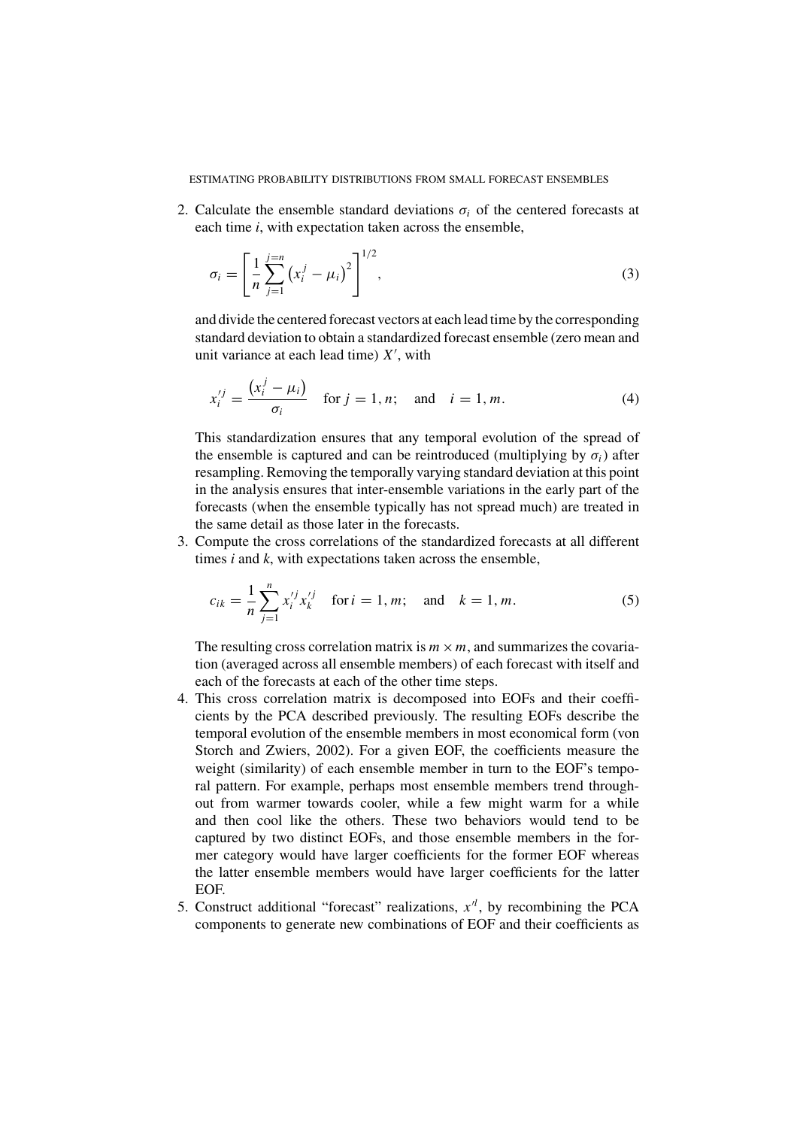2. Calculate the ensemble standard deviations  $\sigma_i$  of the centered forecasts at each time *i*, with expectation taken across the ensemble,

$$
\sigma_i = \left[ \frac{1}{n} \sum_{j=1}^{j=n} (x_i^j - \mu_i)^2 \right]^{1/2},\tag{3}
$$

and divide the centered forecast vectors at each lead time by the corresponding standard deviation to obtain a standardized forecast ensemble (zero mean and unit variance at each lead time)  $X'$ , with

$$
x_i'^j = \frac{(x_i^j - \mu_i)}{\sigma_i} \quad \text{for } j = 1, n; \quad \text{and} \quad i = 1, m. \tag{4}
$$

This standardization ensures that any temporal evolution of the spread of the ensemble is captured and can be reintroduced (multiplying by  $\sigma_i$ ) after resampling. Removing the temporally varying standard deviation at this point in the analysis ensures that inter-ensemble variations in the early part of the forecasts (when the ensemble typically has not spread much) are treated in the same detail as those later in the forecasts.

3. Compute the cross correlations of the standardized forecasts at all different times *i* and *k*, with expectations taken across the ensemble,

$$
c_{ik} = \frac{1}{n} \sum_{j=1}^{n} x_i'^j x_k'^j \quad \text{for } i = 1, m; \quad \text{and} \quad k = 1, m. \tag{5}
$$

The resulting cross correlation matrix is  $m \times m$ , and summarizes the covariation (averaged across all ensemble members) of each forecast with itself and each of the forecasts at each of the other time steps.

- 4. This cross correlation matrix is decomposed into EOFs and their coefficients by the PCA described previously. The resulting EOFs describe the temporal evolution of the ensemble members in most economical form (von Storch and Zwiers, 2002). For a given EOF, the coefficients measure the weight (similarity) of each ensemble member in turn to the EOF's temporal pattern. For example, perhaps most ensemble members trend throughout from warmer towards cooler, while a few might warm for a while and then cool like the others. These two behaviors would tend to be captured by two distinct EOFs, and those ensemble members in the former category would have larger coefficients for the former EOF whereas the latter ensemble members would have larger coefficients for the latter EOF.
- 5. Construct additional "forecast" realizations,  $x^{\prime\prime}$ , by recombining the PCA components to generate new combinations of EOF and their coefficients as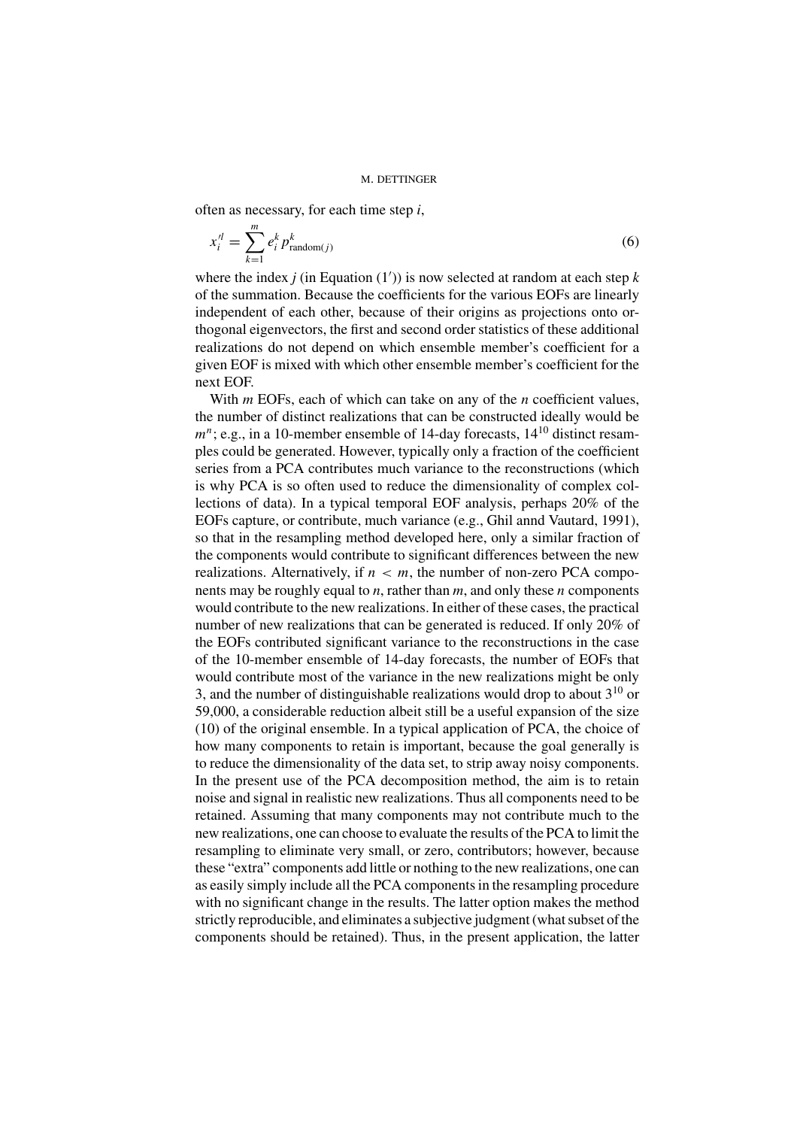often as necessary, for each time step *i*,

$$
x_i^{\prime l} = \sum_{k=1}^m e_i^k p_{\text{random}(j)}^k \tag{6}
$$

where the index  $j$  (in Equation  $(1')$ ) is now selected at random at each step  $k$ of the summation. Because the coefficients for the various EOFs are linearly independent of each other, because of their origins as projections onto orthogonal eigenvectors, the first and second order statistics of these additional realizations do not depend on which ensemble member's coefficient for a given EOF is mixed with which other ensemble member's coefficient for the next EOF.

With *m* EOFs, each of which can take on any of the *n* coefficient values, the number of distinct realizations that can be constructed ideally would be  $m^n$ ; e.g., in a 10-member ensemble of 14-day forecasts,  $14^{10}$  distinct resamples could be generated. However, typically only a fraction of the coefficient series from a PCA contributes much variance to the reconstructions (which is why PCA is so often used to reduce the dimensionality of complex collections of data). In a typical temporal EOF analysis, perhaps 20% of the EOFs capture, or contribute, much variance (e.g., Ghil annd Vautard, 1991), so that in the resampling method developed here, only a similar fraction of the components would contribute to significant differences between the new realizations. Alternatively, if  $n < m$ , the number of non-zero PCA components may be roughly equal to *n*, rather than *m*, and only these *n* components would contribute to the new realizations. In either of these cases, the practical number of new realizations that can be generated is reduced. If only 20% of the EOFs contributed significant variance to the reconstructions in the case of the 10-member ensemble of 14-day forecasts, the number of EOFs that would contribute most of the variance in the new realizations might be only 3, and the number of distinguishable realizations would drop to about  $3^{10}$  or 59,000, a considerable reduction albeit still be a useful expansion of the size (10) of the original ensemble. In a typical application of PCA, the choice of how many components to retain is important, because the goal generally is to reduce the dimensionality of the data set, to strip away noisy components. In the present use of the PCA decomposition method, the aim is to retain noise and signal in realistic new realizations. Thus all components need to be retained. Assuming that many components may not contribute much to the new realizations, one can choose to evaluate the results of the PCA to limit the resampling to eliminate very small, or zero, contributors; however, because these "extra" components add little or nothing to the new realizations, one can as easily simply include all the PCA components in the resampling procedure with no significant change in the results. The latter option makes the method strictly reproducible, and eliminates a subjective judgment (what subset of the components should be retained). Thus, in the present application, the latter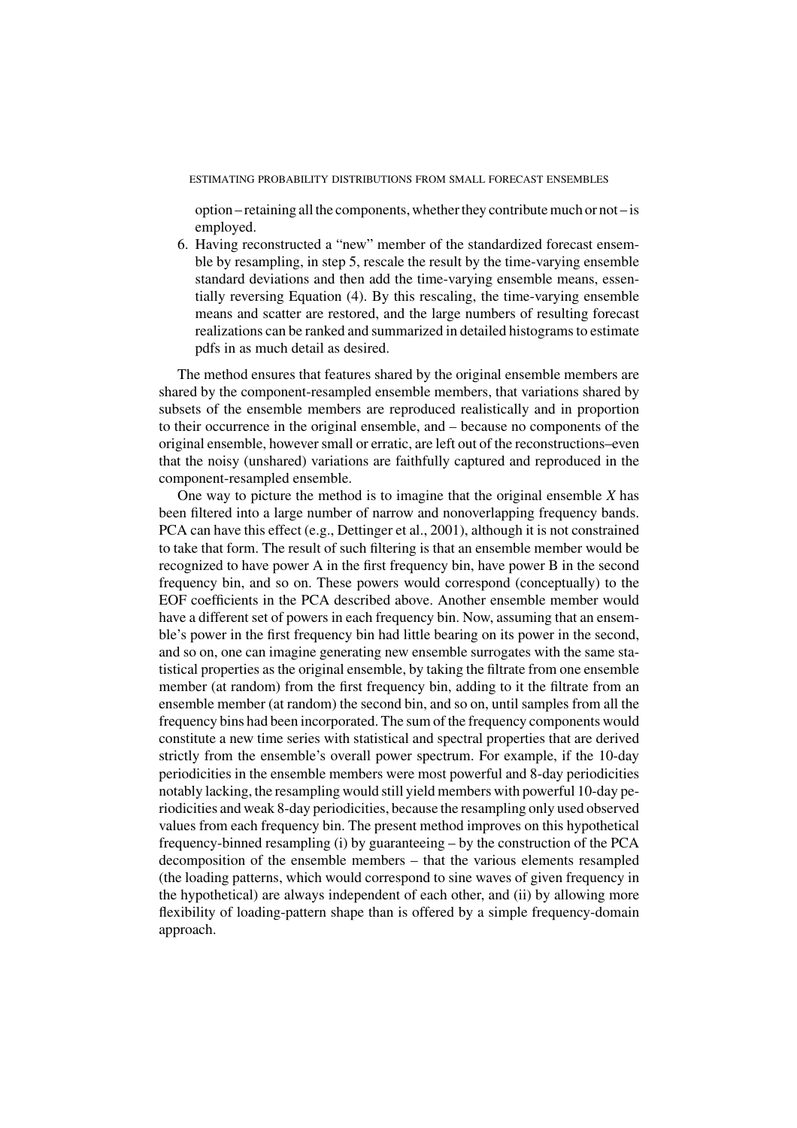option – retaining all the components, whether they contribute much or not – is employed.

6. Having reconstructed a "new" member of the standardized forecast ensemble by resampling, in step 5, rescale the result by the time-varying ensemble standard deviations and then add the time-varying ensemble means, essentially reversing Equation (4). By this rescaling, the time-varying ensemble means and scatter are restored, and the large numbers of resulting forecast realizations can be ranked and summarized in detailed histograms to estimate pdfs in as much detail as desired.

The method ensures that features shared by the original ensemble members are shared by the component-resampled ensemble members, that variations shared by subsets of the ensemble members are reproduced realistically and in proportion to their occurrence in the original ensemble, and – because no components of the original ensemble, however small or erratic, are left out of the reconstructions–even that the noisy (unshared) variations are faithfully captured and reproduced in the component-resampled ensemble.

One way to picture the method is to imagine that the original ensemble *X* has been filtered into a large number of narrow and nonoverlapping frequency bands. PCA can have this effect (e.g., Dettinger et al., 2001), although it is not constrained to take that form. The result of such filtering is that an ensemble member would be recognized to have power A in the first frequency bin, have power B in the second frequency bin, and so on. These powers would correspond (conceptually) to the EOF coefficients in the PCA described above. Another ensemble member would have a different set of powers in each frequency bin. Now, assuming that an ensemble's power in the first frequency bin had little bearing on its power in the second, and so on, one can imagine generating new ensemble surrogates with the same statistical properties as the original ensemble, by taking the filtrate from one ensemble member (at random) from the first frequency bin, adding to it the filtrate from an ensemble member (at random) the second bin, and so on, until samples from all the frequency bins had been incorporated. The sum of the frequency components would constitute a new time series with statistical and spectral properties that are derived strictly from the ensemble's overall power spectrum. For example, if the 10-day periodicities in the ensemble members were most powerful and 8-day periodicities notably lacking, the resampling would still yield members with powerful 10-day periodicities and weak 8-day periodicities, because the resampling only used observed values from each frequency bin. The present method improves on this hypothetical frequency-binned resampling (i) by guaranteeing – by the construction of the PCA decomposition of the ensemble members – that the various elements resampled (the loading patterns, which would correspond to sine waves of given frequency in the hypothetical) are always independent of each other, and (ii) by allowing more flexibility of loading-pattern shape than is offered by a simple frequency-domain approach.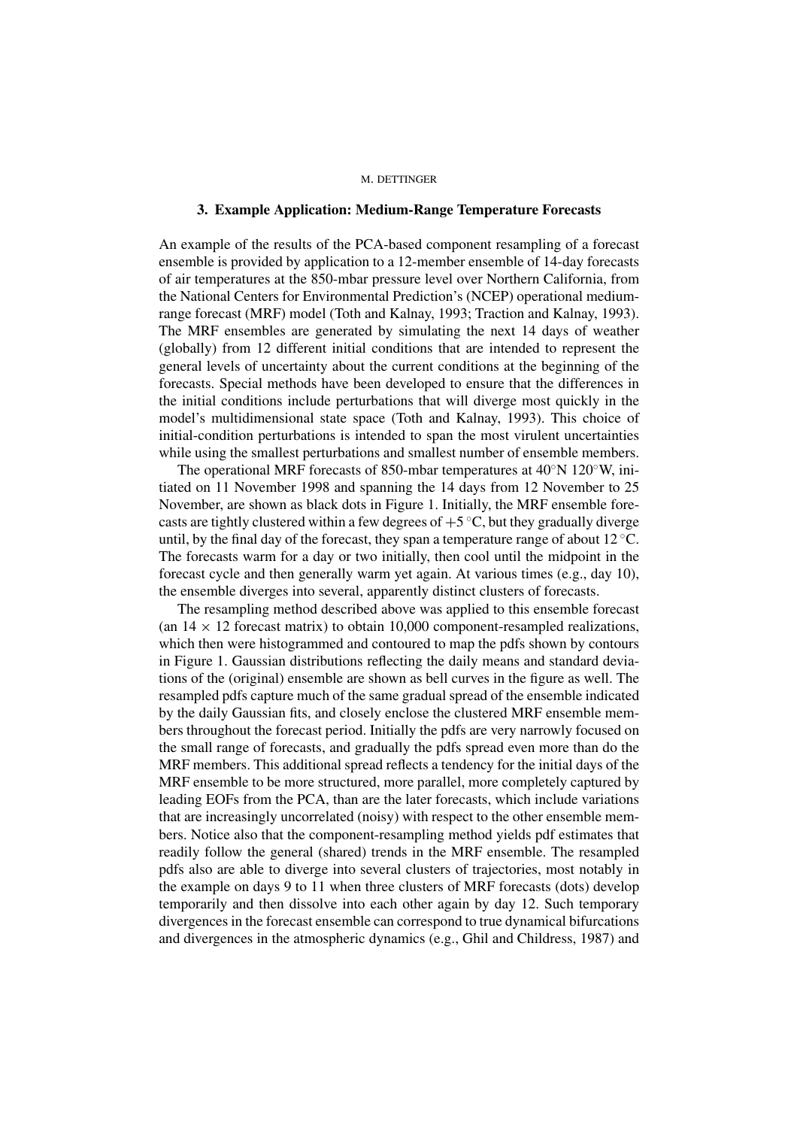## **3. Example Application: Medium-Range Temperature Forecasts**

An example of the results of the PCA-based component resampling of a forecast ensemble is provided by application to a 12-member ensemble of 14-day forecasts of air temperatures at the 850-mbar pressure level over Northern California, from the National Centers for Environmental Prediction's (NCEP) operational mediumrange forecast (MRF) model (Toth and Kalnay, 1993; Traction and Kalnay, 1993). The MRF ensembles are generated by simulating the next 14 days of weather (globally) from 12 different initial conditions that are intended to represent the general levels of uncertainty about the current conditions at the beginning of the forecasts. Special methods have been developed to ensure that the differences in the initial conditions include perturbations that will diverge most quickly in the model's multidimensional state space (Toth and Kalnay, 1993). This choice of initial-condition perturbations is intended to span the most virulent uncertainties while using the smallest perturbations and smallest number of ensemble members.

The operational MRF forecasts of 850-mbar temperatures at 40◦N 120◦W, initiated on 11 November 1998 and spanning the 14 days from 12 November to 25 November, are shown as black dots in Figure 1. Initially, the MRF ensemble forecasts are tightly clustered within a few degrees of  $+5^{\circ}$ C, but they gradually diverge until, by the final day of the forecast, they span a temperature range of about  $12^{\circ}$ C. The forecasts warm for a day or two initially, then cool until the midpoint in the forecast cycle and then generally warm yet again. At various times (e.g., day 10), the ensemble diverges into several, apparently distinct clusters of forecasts.

The resampling method described above was applied to this ensemble forecast (an  $14 \times 12$  forecast matrix) to obtain 10,000 component-resampled realizations, which then were histogrammed and contoured to map the pdfs shown by contours in Figure 1. Gaussian distributions reflecting the daily means and standard deviations of the (original) ensemble are shown as bell curves in the figure as well. The resampled pdfs capture much of the same gradual spread of the ensemble indicated by the daily Gaussian fits, and closely enclose the clustered MRF ensemble members throughout the forecast period. Initially the pdfs are very narrowly focused on the small range of forecasts, and gradually the pdfs spread even more than do the MRF members. This additional spread reflects a tendency for the initial days of the MRF ensemble to be more structured, more parallel, more completely captured by leading EOFs from the PCA, than are the later forecasts, which include variations that are increasingly uncorrelated (noisy) with respect to the other ensemble members. Notice also that the component-resampling method yields pdf estimates that readily follow the general (shared) trends in the MRF ensemble. The resampled pdfs also are able to diverge into several clusters of trajectories, most notably in the example on days 9 to 11 when three clusters of MRF forecasts (dots) develop temporarily and then dissolve into each other again by day 12. Such temporary divergences in the forecast ensemble can correspond to true dynamical bifurcations and divergences in the atmospheric dynamics (e.g., Ghil and Childress, 1987) and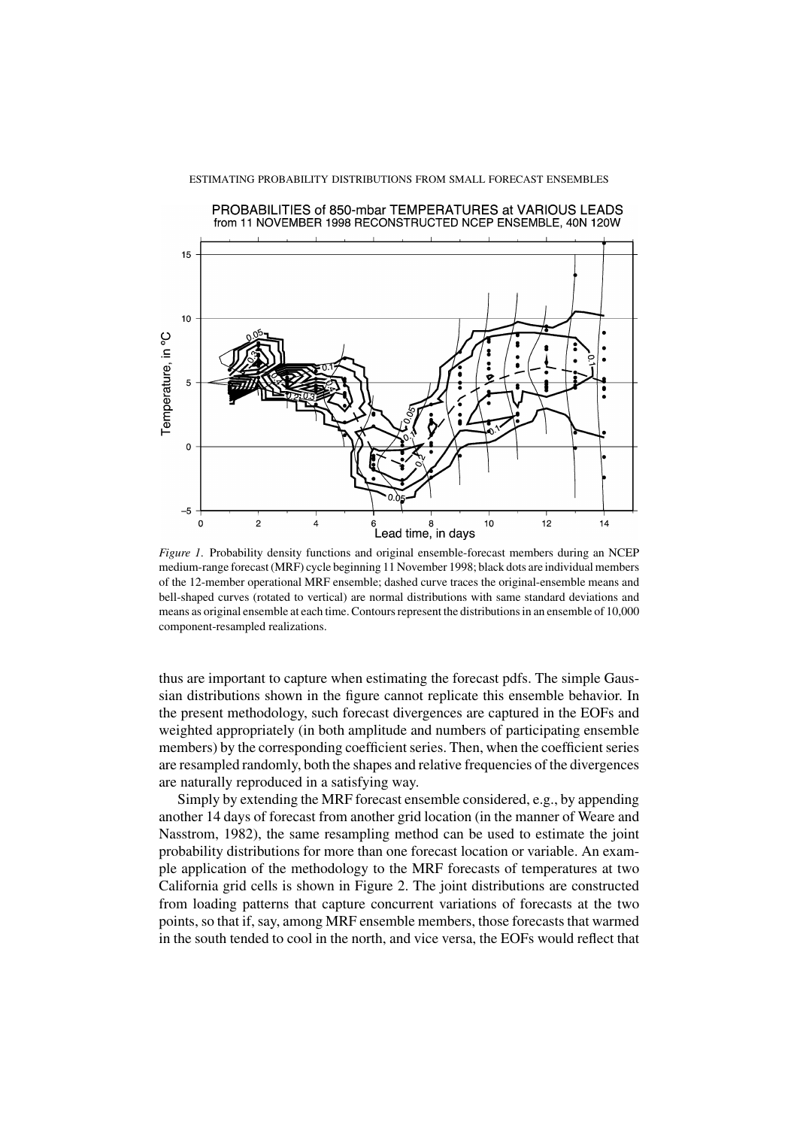



*Figure 1*. Probability density functions and original ensemble-forecast members during an NCEP medium-range forecast (MRF) cycle beginning 11 November 1998; black dots are individual members of the 12-member operational MRF ensemble; dashed curve traces the original-ensemble means and bell-shaped curves (rotated to vertical) are normal distributions with same standard deviations and means as original ensemble at each time. Contours represent the distributions in an ensemble of 10,000 component-resampled realizations.

thus are important to capture when estimating the forecast pdfs. The simple Gaussian distributions shown in the figure cannot replicate this ensemble behavior. In the present methodology, such forecast divergences are captured in the EOFs and weighted appropriately (in both amplitude and numbers of participating ensemble members) by the corresponding coefficient series. Then, when the coefficient series are resampled randomly, both the shapes and relative frequencies of the divergences are naturally reproduced in a satisfying way.

Simply by extending the MRF forecast ensemble considered, e.g., by appending another 14 days of forecast from another grid location (in the manner of Weare and Nasstrom, 1982), the same resampling method can be used to estimate the joint probability distributions for more than one forecast location or variable. An example application of the methodology to the MRF forecasts of temperatures at two California grid cells is shown in Figure 2. The joint distributions are constructed from loading patterns that capture concurrent variations of forecasts at the two points, so that if, say, among MRF ensemble members, those forecasts that warmed in the south tended to cool in the north, and vice versa, the EOFs would reflect that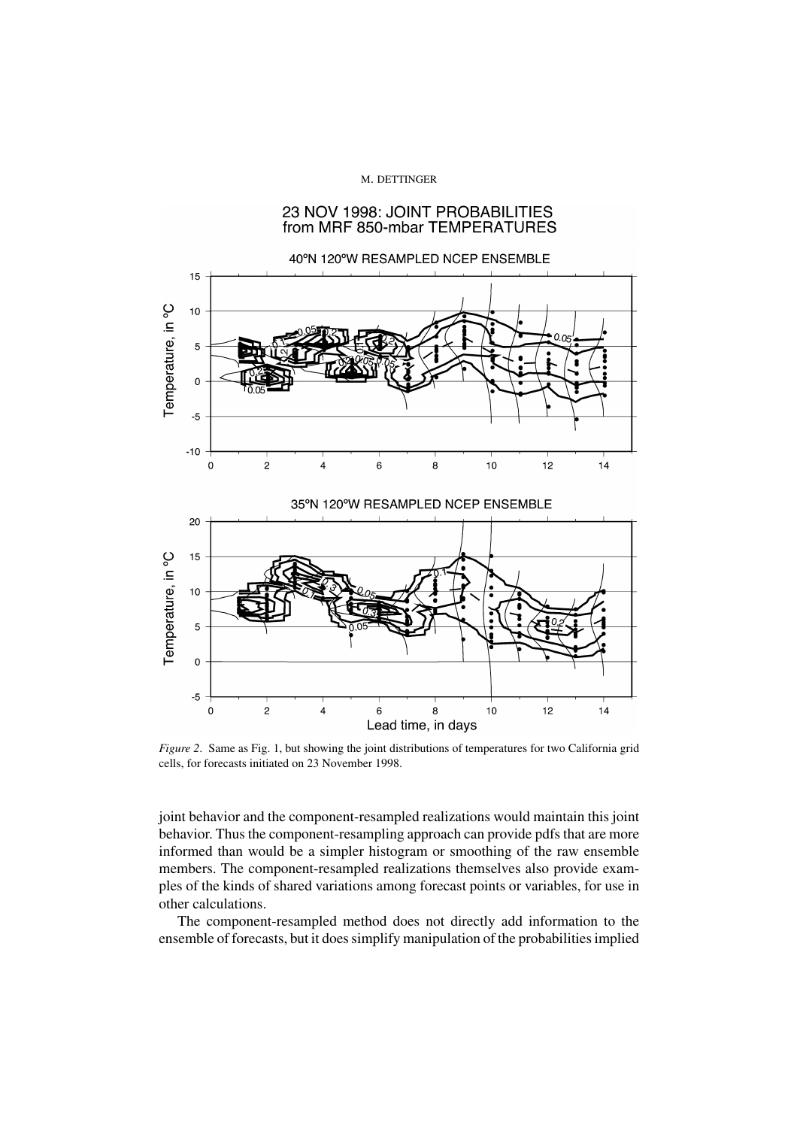# 23 NOV 1998: JOINT PROBABILITIES from MRF 850-mbar TEMPERATURES



*Figure 2*. Same as Fig. 1, but showing the joint distributions of temperatures for two California grid cells, for forecasts initiated on 23 November 1998.

joint behavior and the component-resampled realizations would maintain this joint behavior. Thus the component-resampling approach can provide pdfs that are more informed than would be a simpler histogram or smoothing of the raw ensemble members. The component-resampled realizations themselves also provide examples of the kinds of shared variations among forecast points or variables, for use in other calculations.

The component-resampled method does not directly add information to the ensemble of forecasts, but it does simplify manipulation of the probabilities implied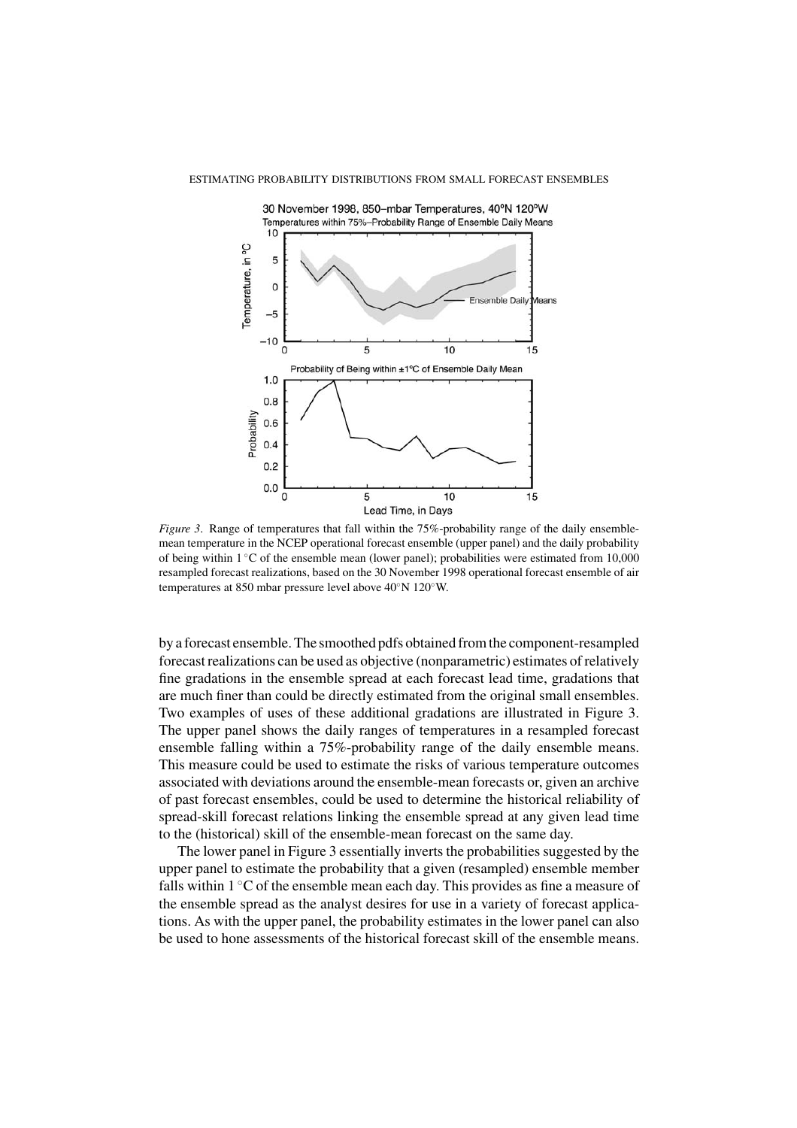

*Figure 3.* Range of temperatures that fall within the 75%-probability range of the daily ensemblemean temperature in the NCEP operational forecast ensemble (upper panel) and the daily probability of being within 1 ◦C of the ensemble mean (lower panel); probabilities were estimated from 10,000 resampled forecast realizations, based on the 30 November 1998 operational forecast ensemble of air temperatures at 850 mbar pressure level above 40◦N 120◦W.

by a forecast ensemble. The smoothed pdfs obtained from the component-resampled forecast realizations can be used as objective (nonparametric) estimates of relatively fine gradations in the ensemble spread at each forecast lead time, gradations that are much finer than could be directly estimated from the original small ensembles. Two examples of uses of these additional gradations are illustrated in Figure 3. The upper panel shows the daily ranges of temperatures in a resampled forecast ensemble falling within a 75%-probability range of the daily ensemble means. This measure could be used to estimate the risks of various temperature outcomes associated with deviations around the ensemble-mean forecasts or, given an archive of past forecast ensembles, could be used to determine the historical reliability of spread-skill forecast relations linking the ensemble spread at any given lead time to the (historical) skill of the ensemble-mean forecast on the same day.

The lower panel in Figure 3 essentially inverts the probabilities suggested by the upper panel to estimate the probability that a given (resampled) ensemble member falls within  $1 \,^{\circ}$ C of the ensemble mean each day. This provides as fine a measure of the ensemble spread as the analyst desires for use in a variety of forecast applications. As with the upper panel, the probability estimates in the lower panel can also be used to hone assessments of the historical forecast skill of the ensemble means.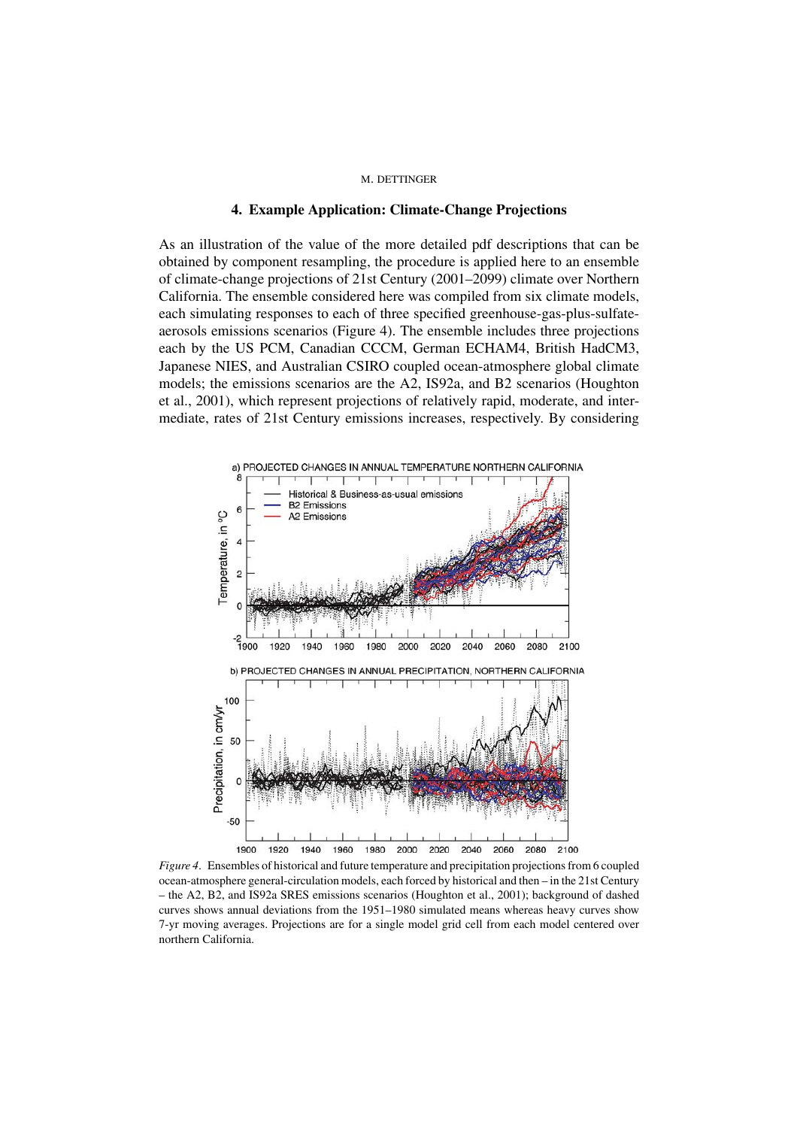### **4. Example Application: Climate-Change Projections**

As an illustration of the value of the more detailed pdf descriptions that can be obtained by component resampling, the procedure is applied here to an ensemble of climate-change projections of 21st Century (2001–2099) climate over Northern California. The ensemble considered here was compiled from six climate models, each simulating responses to each of three specified greenhouse-gas-plus-sulfateaerosols emissions scenarios (Figure 4). The ensemble includes three projections each by the US PCM, Canadian CCCM, German ECHAM4, British HadCM3, Japanese NIES, and Australian CSIRO coupled ocean-atmosphere global climate models; the emissions scenarios are the A2, IS92a, and B2 scenarios (Houghton et al., 2001), which represent projections of relatively rapid, moderate, and intermediate, rates of 21st Century emissions increases, respectively. By considering



*Figure 4*. Ensembles of historical and future temperature and precipitation projections from 6 coupled ocean-atmosphere general-circulation models, each forced by historical and then – in the 21st Century – the A2, B2, and IS92a SRES emissions scenarios (Houghton et al., 2001); background of dashed curves shows annual deviations from the 1951–1980 simulated means whereas heavy curves show 7-yr moving averages. Projections are for a single model grid cell from each model centered over northern California.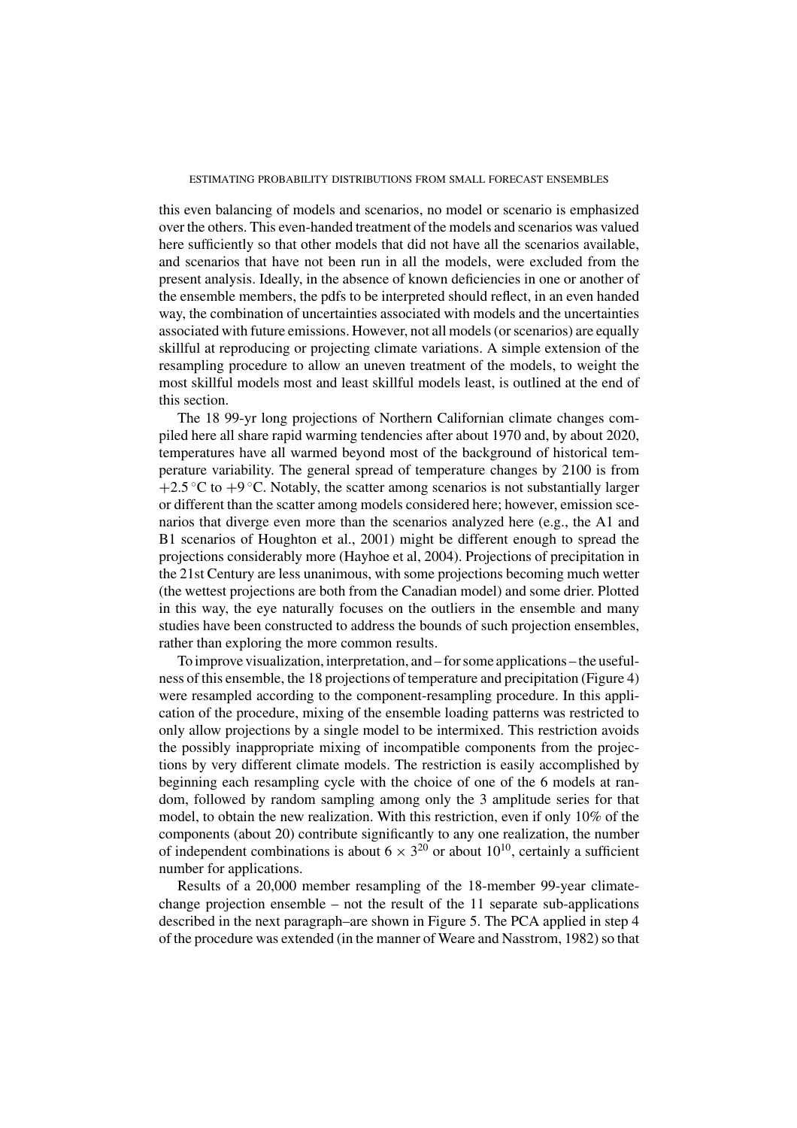this even balancing of models and scenarios, no model or scenario is emphasized over the others. This even-handed treatment of the models and scenarios was valued here sufficiently so that other models that did not have all the scenarios available, and scenarios that have not been run in all the models, were excluded from the present analysis. Ideally, in the absence of known deficiencies in one or another of the ensemble members, the pdfs to be interpreted should reflect, in an even handed way, the combination of uncertainties associated with models and the uncertainties associated with future emissions. However, not all models (or scenarios) are equally skillful at reproducing or projecting climate variations. A simple extension of the resampling procedure to allow an uneven treatment of the models, to weight the most skillful models most and least skillful models least, is outlined at the end of this section.

The 18 99-yr long projections of Northern Californian climate changes compiled here all share rapid warming tendencies after about 1970 and, by about 2020, temperatures have all warmed beyond most of the background of historical temperature variability. The general spread of temperature changes by 2100 is from  $+2.5$  °C to  $+9$  °C. Notably, the scatter among scenarios is not substantially larger or different than the scatter among models considered here; however, emission scenarios that diverge even more than the scenarios analyzed here (e.g., the A1 and B1 scenarios of Houghton et al., 2001) might be different enough to spread the projections considerably more (Hayhoe et al, 2004). Projections of precipitation in the 21st Century are less unanimous, with some projections becoming much wetter (the wettest projections are both from the Canadian model) and some drier. Plotted in this way, the eye naturally focuses on the outliers in the ensemble and many studies have been constructed to address the bounds of such projection ensembles, rather than exploring the more common results.

To improve visualization, interpretation, and – for some applications – the usefulness of this ensemble, the 18 projections of temperature and precipitation (Figure 4) were resampled according to the component-resampling procedure. In this application of the procedure, mixing of the ensemble loading patterns was restricted to only allow projections by a single model to be intermixed. This restriction avoids the possibly inappropriate mixing of incompatible components from the projections by very different climate models. The restriction is easily accomplished by beginning each resampling cycle with the choice of one of the 6 models at random, followed by random sampling among only the 3 amplitude series for that model, to obtain the new realization. With this restriction, even if only 10% of the components (about 20) contribute significantly to any one realization, the number of independent combinations is about  $6 \times 3^{20}$  or about  $10^{10}$ , certainly a sufficient number for applications.

Results of a 20,000 member resampling of the 18-member 99-year climatechange projection ensemble – not the result of the 11 separate sub-applications described in the next paragraph–are shown in Figure 5. The PCA applied in step 4 of the procedure was extended (in the manner of Weare and Nasstrom, 1982) so that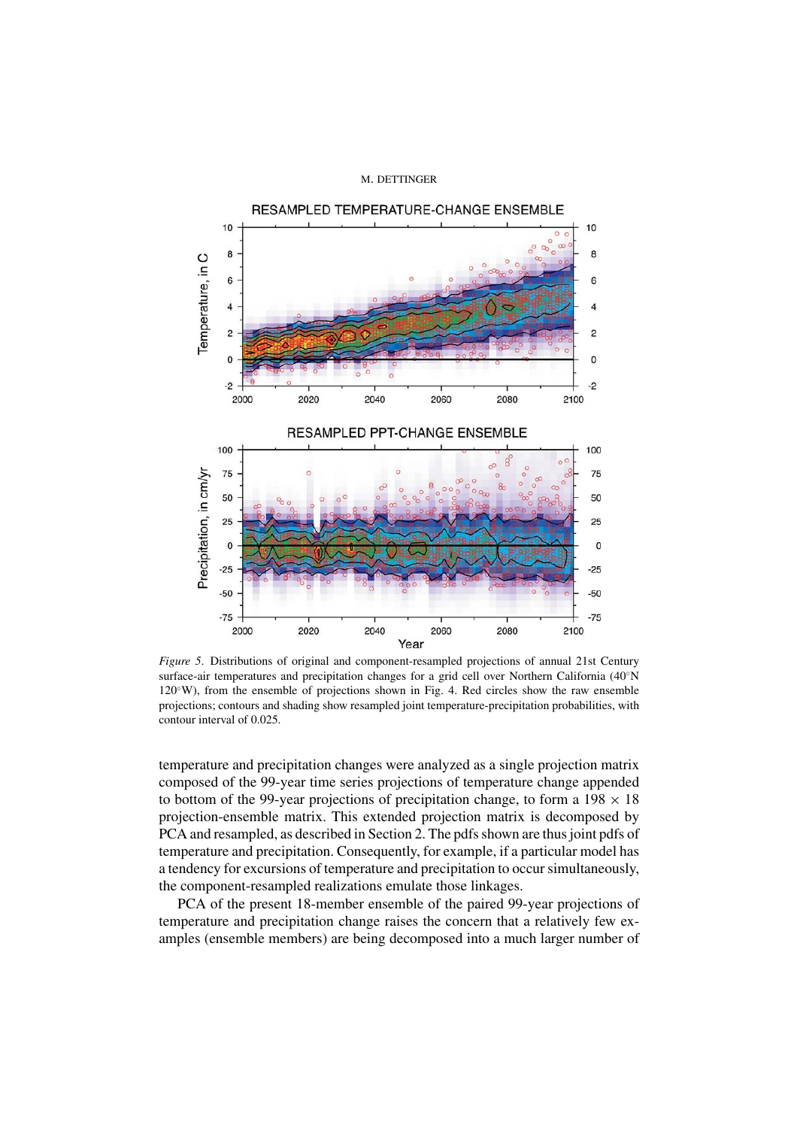

*Figure 5*. Distributions of original and component-resampled projections of annual 21st Century surface-air temperatures and precipitation changes for a grid cell over Northern California (40°N 120◦W), from the ensemble of projections shown in Fig. 4. Red circles show the raw ensemble projections; contours and shading show resampled joint temperature-precipitation probabilities, with contour interval of 0.025.

temperature and precipitation changes were analyzed as a single projection matrix composed of the 99-year time series projections of temperature change appended to bottom of the 99-year projections of precipitation change, to form a  $198 \times 18$ projection-ensemble matrix. This extended projection matrix is decomposed by PCA and resampled, as described in Section 2. The pdfs shown are thus joint pdfs of temperature and precipitation. Consequently, for example, if a particular model has a tendency for excursions of temperature and precipitation to occur simultaneously, the component-resampled realizations emulate those linkages.

PCA of the present 18-member ensemble of the paired 99-year projections of temperature and precipitation change raises the concern that a relatively few examples (ensemble members) are being decomposed into a much larger number of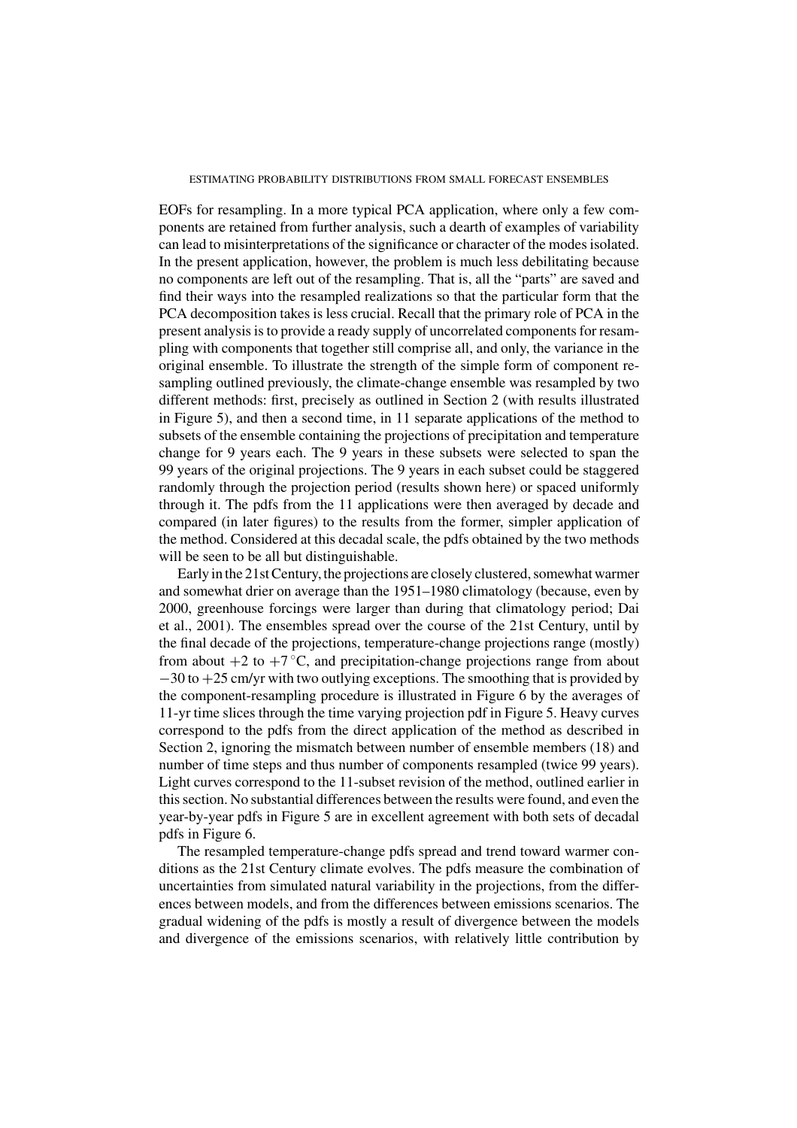EOFs for resampling. In a more typical PCA application, where only a few components are retained from further analysis, such a dearth of examples of variability can lead to misinterpretations of the significance or character of the modes isolated. In the present application, however, the problem is much less debilitating because no components are left out of the resampling. That is, all the "parts" are saved and find their ways into the resampled realizations so that the particular form that the PCA decomposition takes is less crucial. Recall that the primary role of PCA in the present analysis is to provide a ready supply of uncorrelated components for resampling with components that together still comprise all, and only, the variance in the original ensemble. To illustrate the strength of the simple form of component resampling outlined previously, the climate-change ensemble was resampled by two different methods: first, precisely as outlined in Section 2 (with results illustrated in Figure 5), and then a second time, in 11 separate applications of the method to subsets of the ensemble containing the projections of precipitation and temperature change for 9 years each. The 9 years in these subsets were selected to span the 99 years of the original projections. The 9 years in each subset could be staggered randomly through the projection period (results shown here) or spaced uniformly through it. The pdfs from the 11 applications were then averaged by decade and compared (in later figures) to the results from the former, simpler application of the method. Considered at this decadal scale, the pdfs obtained by the two methods will be seen to be all but distinguishable.

Early in the 21st Century, the projections are closely clustered, somewhat warmer and somewhat drier on average than the 1951–1980 climatology (because, even by 2000, greenhouse forcings were larger than during that climatology period; Dai et al., 2001). The ensembles spread over the course of the 21st Century, until by the final decade of the projections, temperature-change projections range (mostly) from about  $+2$  to  $+7$  °C, and precipitation-change projections range from about  $-30$  to  $+25$  cm/yr with two outlying exceptions. The smoothing that is provided by the component-resampling procedure is illustrated in Figure 6 by the averages of 11-yr time slices through the time varying projection pdf in Figure 5. Heavy curves correspond to the pdfs from the direct application of the method as described in Section 2, ignoring the mismatch between number of ensemble members (18) and number of time steps and thus number of components resampled (twice 99 years). Light curves correspond to the 11-subset revision of the method, outlined earlier in this section. No substantial differences between the results were found, and even the year-by-year pdfs in Figure 5 are in excellent agreement with both sets of decadal pdfs in Figure 6.

The resampled temperature-change pdfs spread and trend toward warmer conditions as the 21st Century climate evolves. The pdfs measure the combination of uncertainties from simulated natural variability in the projections, from the differences between models, and from the differences between emissions scenarios. The gradual widening of the pdfs is mostly a result of divergence between the models and divergence of the emissions scenarios, with relatively little contribution by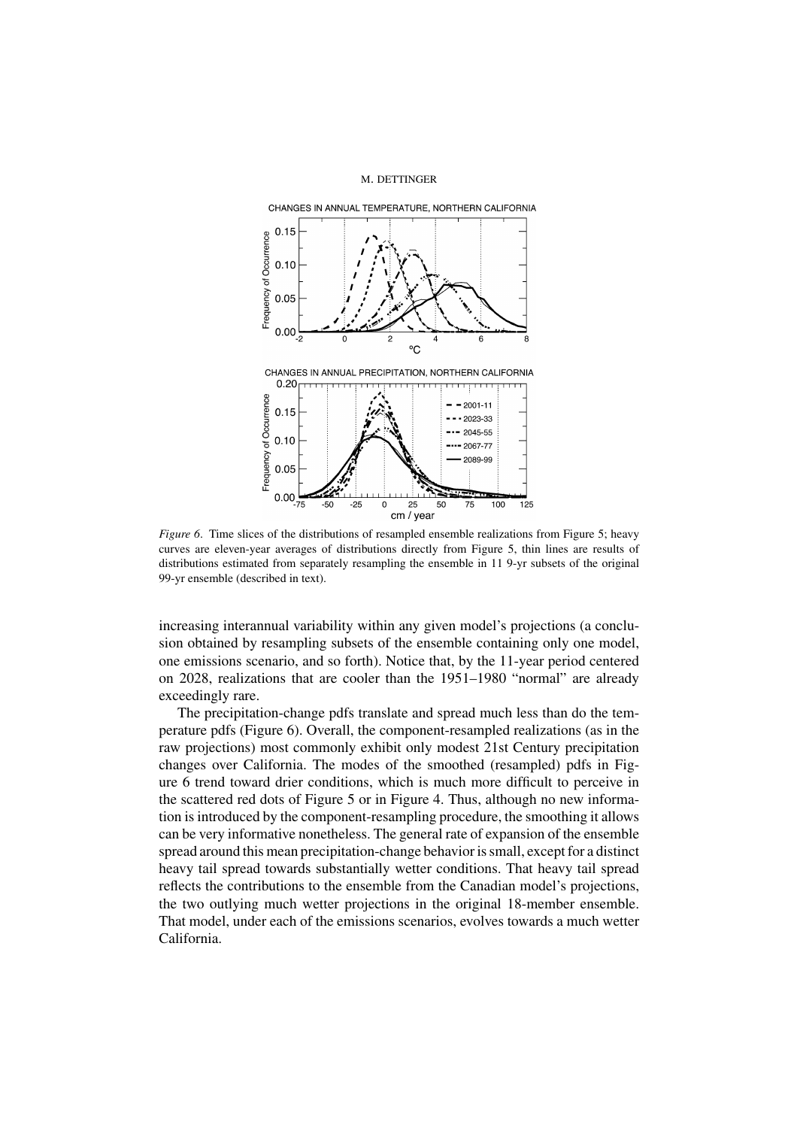

*Figure 6*. Time slices of the distributions of resampled ensemble realizations from Figure 5; heavy curves are eleven-year averages of distributions directly from Figure 5, thin lines are results of distributions estimated from separately resampling the ensemble in 11 9-yr subsets of the original 99-yr ensemble (described in text).

increasing interannual variability within any given model's projections (a conclusion obtained by resampling subsets of the ensemble containing only one model, one emissions scenario, and so forth). Notice that, by the 11-year period centered on 2028, realizations that are cooler than the 1951–1980 "normal" are already exceedingly rare.

The precipitation-change pdfs translate and spread much less than do the temperature pdfs (Figure 6). Overall, the component-resampled realizations (as in the raw projections) most commonly exhibit only modest 21st Century precipitation changes over California. The modes of the smoothed (resampled) pdfs in Figure 6 trend toward drier conditions, which is much more difficult to perceive in the scattered red dots of Figure 5 or in Figure 4. Thus, although no new information is introduced by the component-resampling procedure, the smoothing it allows can be very informative nonetheless. The general rate of expansion of the ensemble spread around this mean precipitation-change behavior is small, except for a distinct heavy tail spread towards substantially wetter conditions. That heavy tail spread reflects the contributions to the ensemble from the Canadian model's projections, the two outlying much wetter projections in the original 18-member ensemble. That model, under each of the emissions scenarios, evolves towards a much wetter California.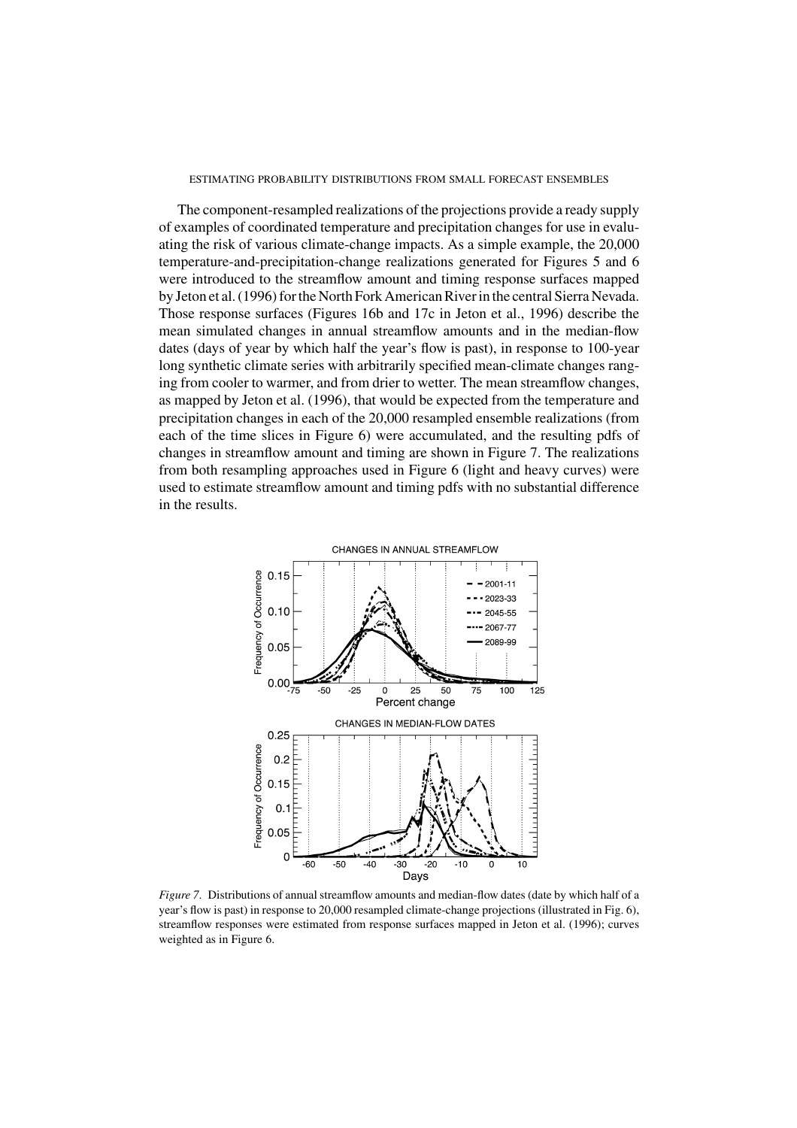The component-resampled realizations of the projections provide a ready supply of examples of coordinated temperature and precipitation changes for use in evaluating the risk of various climate-change impacts. As a simple example, the 20,000 temperature-and-precipitation-change realizations generated for Figures 5 and 6 were introduced to the streamflow amount and timing response surfaces mapped by Jeton et al. (1996) for the North Fork American River in the central Sierra Nevada. Those response surfaces (Figures 16b and 17c in Jeton et al., 1996) describe the mean simulated changes in annual streamflow amounts and in the median-flow dates (days of year by which half the year's flow is past), in response to 100-year long synthetic climate series with arbitrarily specified mean-climate changes ranging from cooler to warmer, and from drier to wetter. The mean streamflow changes, as mapped by Jeton et al. (1996), that would be expected from the temperature and precipitation changes in each of the 20,000 resampled ensemble realizations (from each of the time slices in Figure 6) were accumulated, and the resulting pdfs of changes in streamflow amount and timing are shown in Figure 7. The realizations from both resampling approaches used in Figure 6 (light and heavy curves) were used to estimate streamflow amount and timing pdfs with no substantial difference in the results.



*Figure 7*. Distributions of annual streamflow amounts and median-flow dates (date by which half of a year's flow is past) in response to 20,000 resampled climate-change projections (illustrated in Fig. 6), streamflow responses were estimated from response surfaces mapped in Jeton et al. (1996); curves weighted as in Figure 6.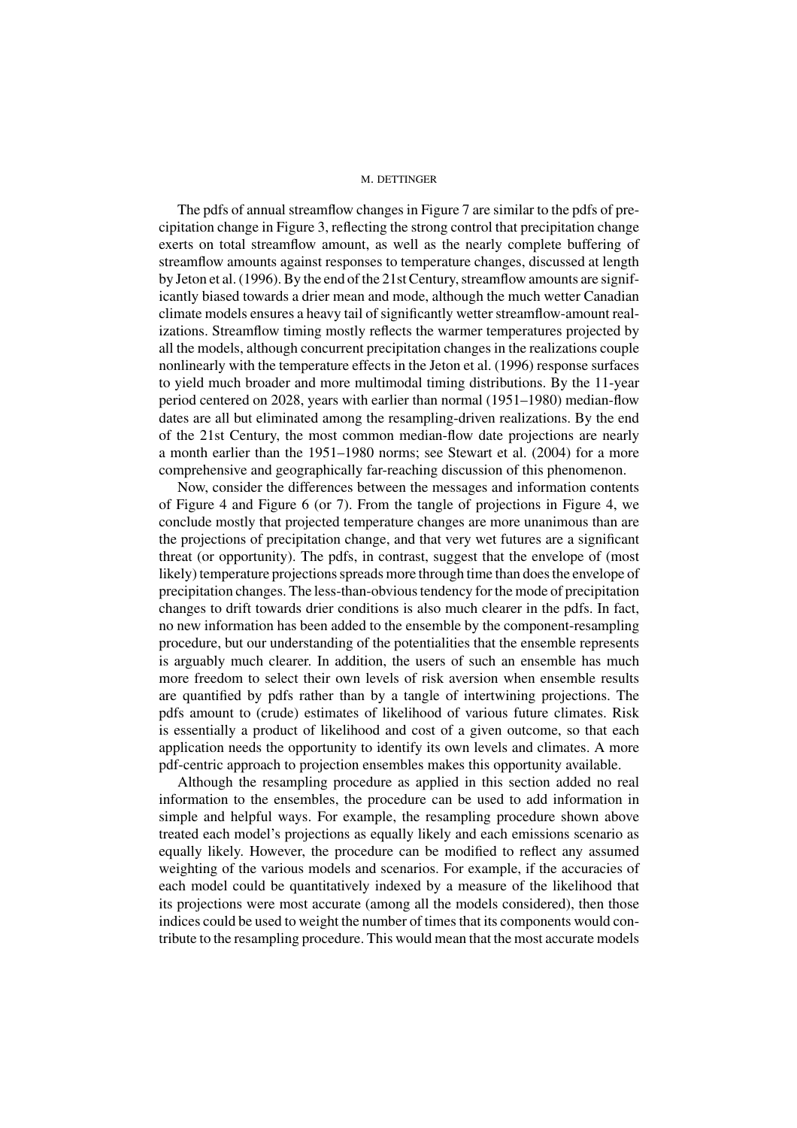The pdfs of annual streamflow changes in Figure 7 are similar to the pdfs of precipitation change in Figure 3, reflecting the strong control that precipitation change exerts on total streamflow amount, as well as the nearly complete buffering of streamflow amounts against responses to temperature changes, discussed at length by Jeton et al. (1996). By the end of the 21st Century, streamflow amounts are significantly biased towards a drier mean and mode, although the much wetter Canadian climate models ensures a heavy tail of significantly wetter streamflow-amount realizations. Streamflow timing mostly reflects the warmer temperatures projected by all the models, although concurrent precipitation changes in the realizations couple nonlinearly with the temperature effects in the Jeton et al. (1996) response surfaces to yield much broader and more multimodal timing distributions. By the 11-year period centered on 2028, years with earlier than normal (1951–1980) median-flow dates are all but eliminated among the resampling-driven realizations. By the end of the 21st Century, the most common median-flow date projections are nearly a month earlier than the 1951–1980 norms; see Stewart et al. (2004) for a more comprehensive and geographically far-reaching discussion of this phenomenon.

Now, consider the differences between the messages and information contents of Figure 4 and Figure 6 (or 7). From the tangle of projections in Figure 4, we conclude mostly that projected temperature changes are more unanimous than are the projections of precipitation change, and that very wet futures are a significant threat (or opportunity). The pdfs, in contrast, suggest that the envelope of (most likely) temperature projections spreads more through time than does the envelope of precipitation changes. The less-than-obvious tendency for the mode of precipitation changes to drift towards drier conditions is also much clearer in the pdfs. In fact, no new information has been added to the ensemble by the component-resampling procedure, but our understanding of the potentialities that the ensemble represents is arguably much clearer. In addition, the users of such an ensemble has much more freedom to select their own levels of risk aversion when ensemble results are quantified by pdfs rather than by a tangle of intertwining projections. The pdfs amount to (crude) estimates of likelihood of various future climates. Risk is essentially a product of likelihood and cost of a given outcome, so that each application needs the opportunity to identify its own levels and climates. A more pdf-centric approach to projection ensembles makes this opportunity available.

Although the resampling procedure as applied in this section added no real information to the ensembles, the procedure can be used to add information in simple and helpful ways. For example, the resampling procedure shown above treated each model's projections as equally likely and each emissions scenario as equally likely. However, the procedure can be modified to reflect any assumed weighting of the various models and scenarios. For example, if the accuracies of each model could be quantitatively indexed by a measure of the likelihood that its projections were most accurate (among all the models considered), then those indices could be used to weight the number of times that its components would contribute to the resampling procedure. This would mean that the most accurate models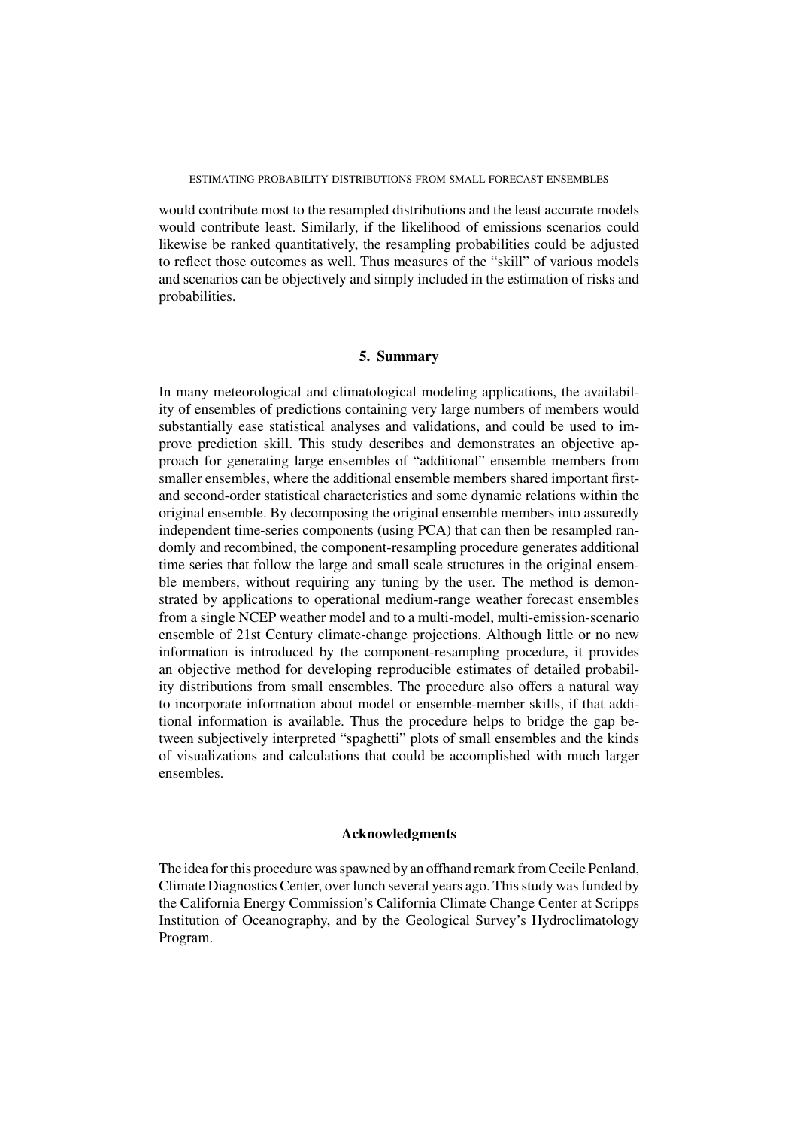would contribute most to the resampled distributions and the least accurate models would contribute least. Similarly, if the likelihood of emissions scenarios could likewise be ranked quantitatively, the resampling probabilities could be adjusted to reflect those outcomes as well. Thus measures of the "skill" of various models and scenarios can be objectively and simply included in the estimation of risks and probabilities.

## **5. Summary**

In many meteorological and climatological modeling applications, the availability of ensembles of predictions containing very large numbers of members would substantially ease statistical analyses and validations, and could be used to improve prediction skill. This study describes and demonstrates an objective approach for generating large ensembles of "additional" ensemble members from smaller ensembles, where the additional ensemble members shared important firstand second-order statistical characteristics and some dynamic relations within the original ensemble. By decomposing the original ensemble members into assuredly independent time-series components (using PCA) that can then be resampled randomly and recombined, the component-resampling procedure generates additional time series that follow the large and small scale structures in the original ensemble members, without requiring any tuning by the user. The method is demonstrated by applications to operational medium-range weather forecast ensembles from a single NCEP weather model and to a multi-model, multi-emission-scenario ensemble of 21st Century climate-change projections. Although little or no new information is introduced by the component-resampling procedure, it provides an objective method for developing reproducible estimates of detailed probability distributions from small ensembles. The procedure also offers a natural way to incorporate information about model or ensemble-member skills, if that additional information is available. Thus the procedure helps to bridge the gap between subjectively interpreted "spaghetti" plots of small ensembles and the kinds of visualizations and calculations that could be accomplished with much larger ensembles.

## **Acknowledgments**

The idea for this procedure was spawned by an offhand remark from Cecile Penland, Climate Diagnostics Center, over lunch several years ago. This study was funded by the California Energy Commission's California Climate Change Center at Scripps Institution of Oceanography, and by the Geological Survey's Hydroclimatology Program.